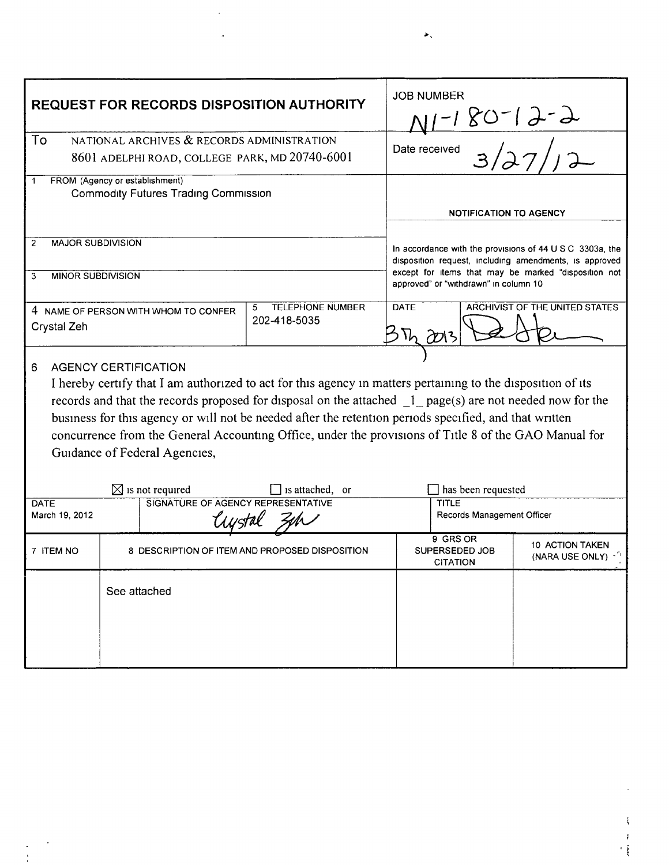| <b>REQUEST FOR RECORDS DISPOSITION AUTHORITY</b>                                                             |              |                                                | <b>JOB NUMBER</b>                                                                                                  |                                   |                                  |
|--------------------------------------------------------------------------------------------------------------|--------------|------------------------------------------------|--------------------------------------------------------------------------------------------------------------------|-----------------------------------|----------------------------------|
|                                                                                                              |              |                                                | <u>-180-19-9</u>                                                                                                   |                                   |                                  |
| To<br>NATIONAL ARCHIVES & RECORDS ADMINISTRATION                                                             |              |                                                |                                                                                                                    | Date received                     |                                  |
| 8601 ADELPHI ROAD, COLLEGE PARK, MD 20740-6001                                                               |              |                                                | 3/27/                                                                                                              |                                   |                                  |
| FROM (Agency or establishment)                                                                               |              |                                                |                                                                                                                    |                                   |                                  |
| <b>Commodity Futures Trading Commission</b>                                                                  |              |                                                |                                                                                                                    |                                   |                                  |
|                                                                                                              |              |                                                | <b>NOTIFICATION TO AGENCY</b>                                                                                      |                                   |                                  |
| <b>MAJOR SUBDIVISION</b><br>$\overline{2}$                                                                   |              |                                                |                                                                                                                    |                                   |                                  |
|                                                                                                              |              |                                                | In accordance with the provisions of 44 U S C 3303a, the<br>disposition request, including amendments, is approved |                                   |                                  |
| <b>MINOR SUBDIVISION</b><br>3                                                                                |              |                                                | except for items that may be marked "disposition not<br>approved" or "withdrawn" in column 10                      |                                   |                                  |
|                                                                                                              |              |                                                |                                                                                                                    |                                   |                                  |
| Crystal Zeh                                                                                                  |              | 202-418-5035                                   |                                                                                                                    |                                   |                                  |
|                                                                                                              |              |                                                |                                                                                                                    |                                   |                                  |
| <b>AGENCY CERTIFICATION</b><br>6                                                                             |              |                                                |                                                                                                                    |                                   |                                  |
| I hereby certify that I am authorized to act for this agency in matters pertaining to the disposition of its |              |                                                |                                                                                                                    |                                   |                                  |
| records and that the records proposed for disposal on the attached 1 page(s) are not needed now for the      |              |                                                |                                                                                                                    |                                   |                                  |
| business for this agency or will not be needed after the retention periods specified, and that written       |              |                                                |                                                                                                                    |                                   |                                  |
|                                                                                                              |              |                                                |                                                                                                                    |                                   |                                  |
| concurrence from the General Accounting Office, under the provisions of Title 8 of the GAO Manual for        |              |                                                |                                                                                                                    |                                   |                                  |
| Guidance of Federal Agencies,                                                                                |              |                                                |                                                                                                                    |                                   |                                  |
|                                                                                                              |              |                                                |                                                                                                                    |                                   |                                  |
| $\boxtimes$ is not required<br>is attached, or<br>SIGNATURE OF AGENCY REPRESENTATIVE<br>DATE                 |              |                                                | has been requested<br><b>TITLE</b>                                                                                 |                                   |                                  |
| March 19, 2012<br>t <i>i us</i> tal                                                                          |              |                                                | Records Management Officer                                                                                         |                                   |                                  |
|                                                                                                              |              |                                                |                                                                                                                    |                                   |                                  |
| 7 ITEM NO                                                                                                    |              | 8 DESCRIPTION OF ITEM AND PROPOSED DISPOSITION |                                                                                                                    | 9 GRS OR<br><b>SUPERSEDED JOB</b> | <b>10 ACTION TAKEN</b>           |
|                                                                                                              |              |                                                |                                                                                                                    | <b>CITATION</b>                   | (NARA USE ONLY) $-$ <sup>1</sup> |
|                                                                                                              |              |                                                |                                                                                                                    |                                   |                                  |
|                                                                                                              | See attached |                                                |                                                                                                                    |                                   |                                  |
|                                                                                                              |              |                                                |                                                                                                                    |                                   |                                  |
|                                                                                                              |              |                                                |                                                                                                                    |                                   |                                  |
|                                                                                                              |              |                                                |                                                                                                                    |                                   |                                  |
|                                                                                                              |              |                                                |                                                                                                                    |                                   |                                  |

 $\mathcal{A}^{\mathcal{A}}$  $\mathbb{R}^2$ 

 $\bar{\mathcal{E}}$  $\begin{pmatrix} 1 \\ 1 \\ 1 \end{pmatrix}$ 

 $\blacktriangleright$ .

 $\frac{1}{3}$ 

 $\begin{array}{c} \ell \\ \ell \\ \ell \end{array}$